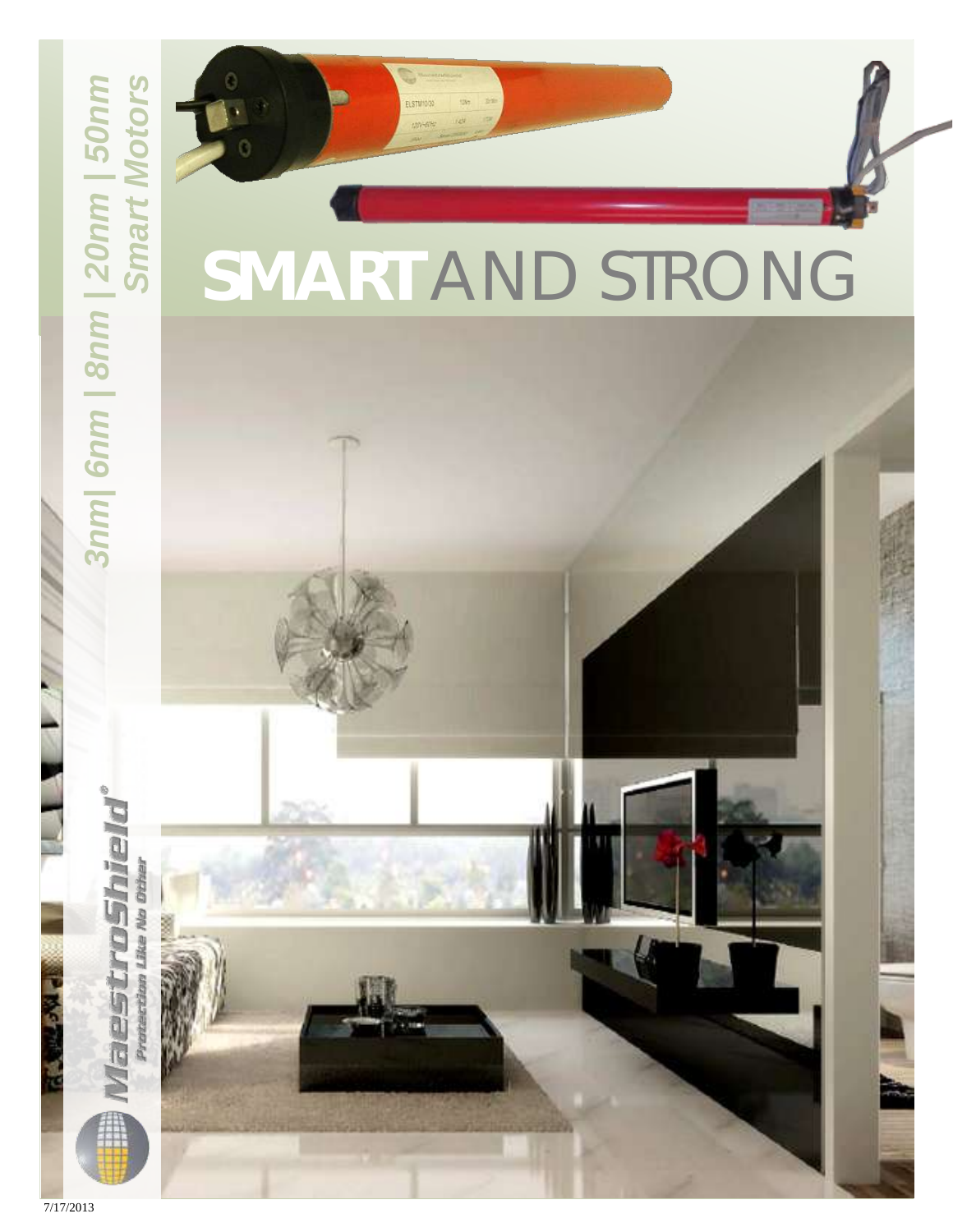## *Smart Motors* 7/17/2013 *3nm| 6nm | 8nm | 20nm | 50nm* ViaestroShiel

## **SMART** AND STRONG

ELSTM<sup>50</sup>

 $7/17/2013$ 

Protection Like No Dther